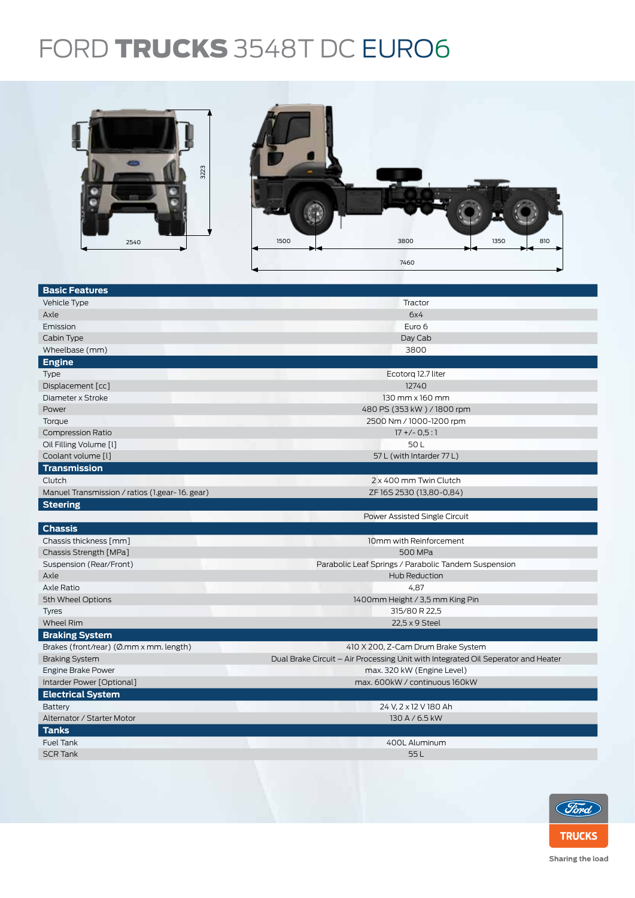## FORD TRUCKS 3548T DC EURO6



| <b>Basic Features</b>                          |                                                                                   |  |  |  |  |
|------------------------------------------------|-----------------------------------------------------------------------------------|--|--|--|--|
| Vehicle Type                                   | Tractor                                                                           |  |  |  |  |
| Axle                                           | 6x4                                                                               |  |  |  |  |
| Emission                                       | Euro 6                                                                            |  |  |  |  |
| Cabin Type                                     | Day Cab                                                                           |  |  |  |  |
| Wheelbase (mm)                                 | 3800                                                                              |  |  |  |  |
| Engine                                         |                                                                                   |  |  |  |  |
| Type                                           | Ecotorg 12.7 liter                                                                |  |  |  |  |
| Displacement [cc]                              | 12740                                                                             |  |  |  |  |
| Diameter x Stroke                              | 130 mm x 160 mm                                                                   |  |  |  |  |
| Power                                          | 480 PS (353 kW) / 1800 rpm                                                        |  |  |  |  |
| Torque                                         | 2500 Nm / 1000-1200 rpm                                                           |  |  |  |  |
| <b>Compression Ratio</b>                       | $17 + (-0.5:1)$                                                                   |  |  |  |  |
| Oil Filling Volume [1]                         | 50L                                                                               |  |  |  |  |
| Coolant volume [l]                             | 57 L (with Intarder 77 L)                                                         |  |  |  |  |
| <b>Transmission</b>                            |                                                                                   |  |  |  |  |
| Clutch                                         | 2 x 400 mm Twin Clutch                                                            |  |  |  |  |
| Manuel Transmission / ratios (1.gear-16. gear) | ZF 16S 2530 (13,80-0,84)                                                          |  |  |  |  |
| <b>Steering</b>                                |                                                                                   |  |  |  |  |
|                                                | Power Assisted Single Circuit                                                     |  |  |  |  |
| <b>Chassis</b>                                 |                                                                                   |  |  |  |  |
| Chassis thickness [mm]                         | 10mm with Reinforcement                                                           |  |  |  |  |
| Chassis Strength [MPa]                         | 500 MPa                                                                           |  |  |  |  |
| Suspension (Rear/Front)                        | Parabolic Leaf Springs / Parabolic Tandem Suspension                              |  |  |  |  |
| Axle                                           | Hub Reduction                                                                     |  |  |  |  |
| Axle Ratio                                     | 4,87                                                                              |  |  |  |  |
| 5th Wheel Options                              | 1400mm Height / 3,5 mm King Pin                                                   |  |  |  |  |
| <b>Tyres</b>                                   | 315/80 R 22,5                                                                     |  |  |  |  |
| Wheel Rim                                      | 22,5 x 9 Steel                                                                    |  |  |  |  |
| <b>Braking System</b>                          |                                                                                   |  |  |  |  |
| Brakes (front/rear) (Ø.mm x mm. length)        | 410 X 200, Z-Cam Drum Brake System                                                |  |  |  |  |
| <b>Braking System</b>                          | Dual Brake Circuit – Air Processing Unit with Integrated Oil Seperator and Heater |  |  |  |  |
| Engine Brake Power                             | max. 320 kW (Engine Level)                                                        |  |  |  |  |
| Intarder Power [Optional]                      | max. 600kW / continuous 160kW                                                     |  |  |  |  |
| <b>Electrical System</b>                       |                                                                                   |  |  |  |  |
| Battery                                        | 24 V, 2 x 12 V 180 Ah                                                             |  |  |  |  |
| Alternator / Starter Motor                     | 130 A / 6.5 kW                                                                    |  |  |  |  |
| <b>Tanks</b>                                   |                                                                                   |  |  |  |  |
|                                                |                                                                                   |  |  |  |  |
| <b>Fuel Tank</b>                               | 400L Aluminum                                                                     |  |  |  |  |
| <b>SCR Tank</b>                                | 55L                                                                               |  |  |  |  |
|                                                |                                                                                   |  |  |  |  |



Sharing the load